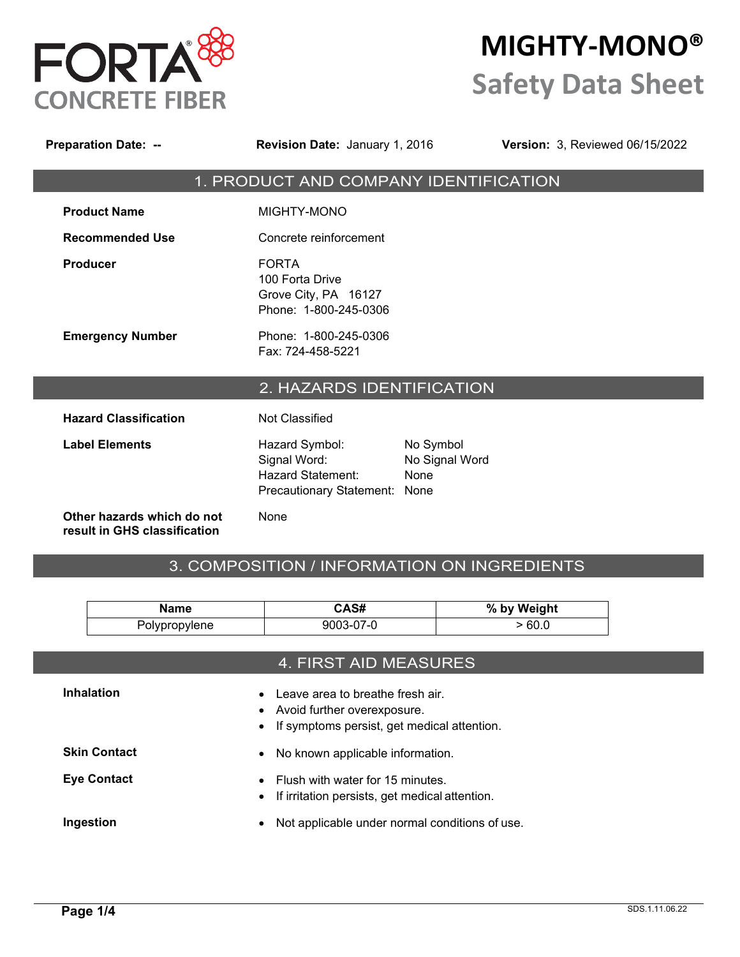

# **MIGHTY-MONO® Safety Data Sheet**

| <b>Preparation Date: --</b>                                | <b>Revision Date: January 1, 2016</b>                                                       |                                     | <b>Version: 3, Reviewed 06/15/2022</b> |
|------------------------------------------------------------|---------------------------------------------------------------------------------------------|-------------------------------------|----------------------------------------|
|                                                            | 1. PRODUCT AND COMPANY IDENTIFICATION                                                       |                                     |                                        |
| <b>Product Name</b>                                        | MIGHTY-MONO                                                                                 |                                     |                                        |
| <b>Recommended Use</b>                                     | Concrete reinforcement                                                                      |                                     |                                        |
| <b>Producer</b>                                            | <b>FORTA</b><br>100 Forta Drive<br>Grove City, PA 16127<br>Phone: 1-800-245-0306            |                                     |                                        |
| <b>Emergency Number</b>                                    | Phone: 1-800-245-0306<br>Fax: 724-458-5221                                                  |                                     |                                        |
|                                                            | 2. HAZARDS IDENTIFICATION                                                                   |                                     |                                        |
| <b>Hazard Classification</b>                               | <b>Not Classified</b>                                                                       |                                     |                                        |
| <b>Label Elements</b>                                      | Hazard Symbol:<br>Signal Word:<br><b>Hazard Statement:</b><br>Precautionary Statement: None | No Symbol<br>No Signal Word<br>None |                                        |
| Other hazards which do not<br>result in GHS classification | None                                                                                        |                                     |                                        |

### 3. COMPOSITION / INFORMATION ON INGREDIENTS

| Name          | CAS#      | % by Weight |
|---------------|-----------|-------------|
| Polypropylene | 9003-07-0 | −60.∪       |

|                     | 4. FIRST AID MEASURES                                                                                                           |
|---------------------|---------------------------------------------------------------------------------------------------------------------------------|
| <b>Inhalation</b>   | Leave area to breathe fresh air.<br>$\bullet$<br>• Avoid further overexposure.<br>• If symptoms persist, get medical attention. |
| <b>Skin Contact</b> | No known applicable information.<br>$\bullet$                                                                                   |
| <b>Eye Contact</b>  | Flush with water for 15 minutes.<br>If irritation persists, get medical attention.<br>$\bullet$                                 |
| Ingestion           | Not applicable under normal conditions of use.<br>$\bullet$                                                                     |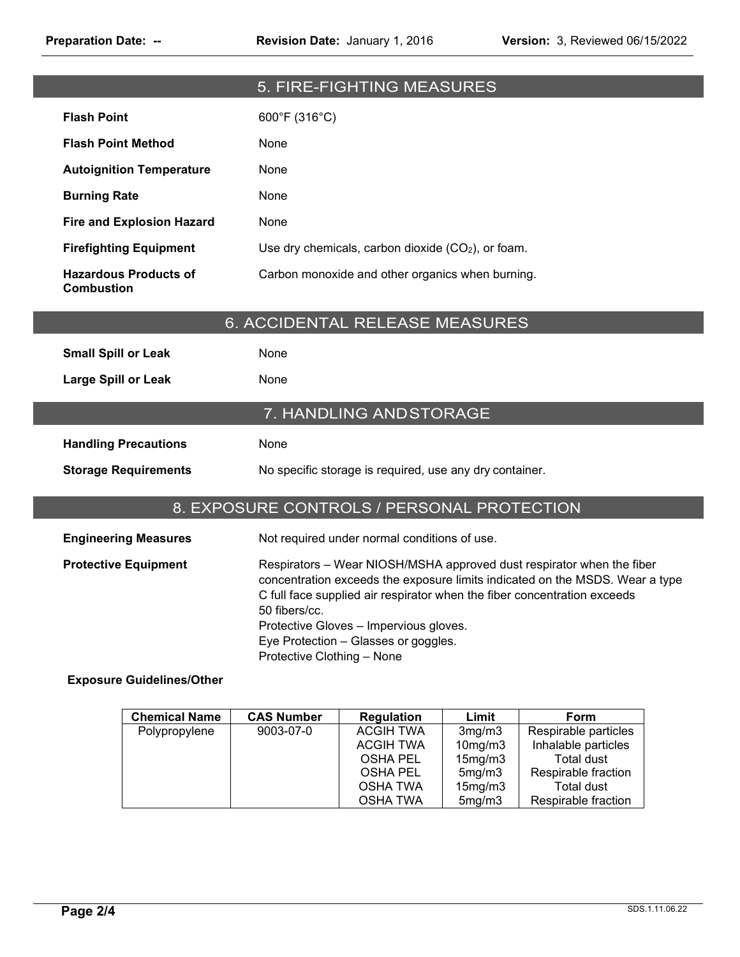|                                                   |                                             | 5. FIRE-FIGHTING MEASURES                                                      |       |                                                                                                                                                                                                                                   |  |
|---------------------------------------------------|---------------------------------------------|--------------------------------------------------------------------------------|-------|-----------------------------------------------------------------------------------------------------------------------------------------------------------------------------------------------------------------------------------|--|
| <b>Flash Point</b>                                | 600°F (316°C)                               |                                                                                |       |                                                                                                                                                                                                                                   |  |
| <b>Flash Point Method</b>                         | None                                        |                                                                                |       |                                                                                                                                                                                                                                   |  |
| <b>Autoignition Temperature</b>                   | None                                        |                                                                                |       |                                                                                                                                                                                                                                   |  |
| <b>Burning Rate</b>                               | None                                        |                                                                                |       |                                                                                                                                                                                                                                   |  |
| <b>Fire and Explosion Hazard</b>                  | None                                        |                                                                                |       |                                                                                                                                                                                                                                   |  |
| <b>Firefighting Equipment</b>                     |                                             | Use dry chemicals, carbon dioxide (CO2), or foam.                              |       |                                                                                                                                                                                                                                   |  |
| <b>Hazardous Products of</b><br><b>Combustion</b> |                                             | Carbon monoxide and other organics when burning.                               |       |                                                                                                                                                                                                                                   |  |
|                                                   | 6. ACCIDENTAL RELEASE MEASURES              |                                                                                |       |                                                                                                                                                                                                                                   |  |
| <b>Small Spill or Leak</b>                        | None                                        |                                                                                |       |                                                                                                                                                                                                                                   |  |
| <b>Large Spill or Leak</b>                        | None                                        |                                                                                |       |                                                                                                                                                                                                                                   |  |
|                                                   |                                             | 7. HANDLING AND STORAGE                                                        |       |                                                                                                                                                                                                                                   |  |
| <b>Handling Precautions</b>                       | None                                        |                                                                                |       |                                                                                                                                                                                                                                   |  |
| <b>Storage Requirements</b>                       |                                             | No specific storage is required, use any dry container.                        |       |                                                                                                                                                                                                                                   |  |
|                                                   |                                             |                                                                                |       |                                                                                                                                                                                                                                   |  |
|                                                   |                                             |                                                                                |       |                                                                                                                                                                                                                                   |  |
|                                                   | 8. EXPOSURE CONTROLS / PERSONAL PROTECTION  |                                                                                |       |                                                                                                                                                                                                                                   |  |
| <b>Engineering Measures</b>                       |                                             | Not required under normal conditions of use.                                   |       |                                                                                                                                                                                                                                   |  |
| <b>Protective Equipment</b>                       | 50 fibers/cc.<br>Protective Clothing - None | Protective Gloves - Impervious gloves.<br>Eye Protection - Glasses or goggles. |       | Respirators - Wear NIOSH/MSHA approved dust respirator when the fiber<br>concentration exceeds the exposure limits indicated on the MSDS. Wear a type<br>C full face supplied air respirator when the fiber concentration exceeds |  |
| <b>Exposure Guidelines/Other</b>                  |                                             |                                                                                |       |                                                                                                                                                                                                                                   |  |
| <b>Chemical Name</b>                              | <b>CAS Number</b>                           | <b>Regulation</b>                                                              | Limit | Form                                                                                                                                                                                                                              |  |

| <b>Chemical Name</b> | <b>CAS Number</b> | <b>Regulation</b> | Limit   | Form                 |
|----------------------|-------------------|-------------------|---------|----------------------|
| Polypropylene        | 9003-07-0         | <b>ACGIH TWA</b>  | 3mg/m3  | Respirable particles |
|                      |                   | ACGIH TWA         | 10mg/m3 | Inhalable particles  |
|                      |                   | OSHA PEL          | 15mg/m3 | Total dust           |
|                      |                   | OSHA PEL          | 5mg/m3  | Respirable fraction  |
|                      |                   | OSHA TWA          | 15mg/m3 | Total dust           |
|                      |                   | OSHA TWA          | 5mg/m3  | Respirable fraction  |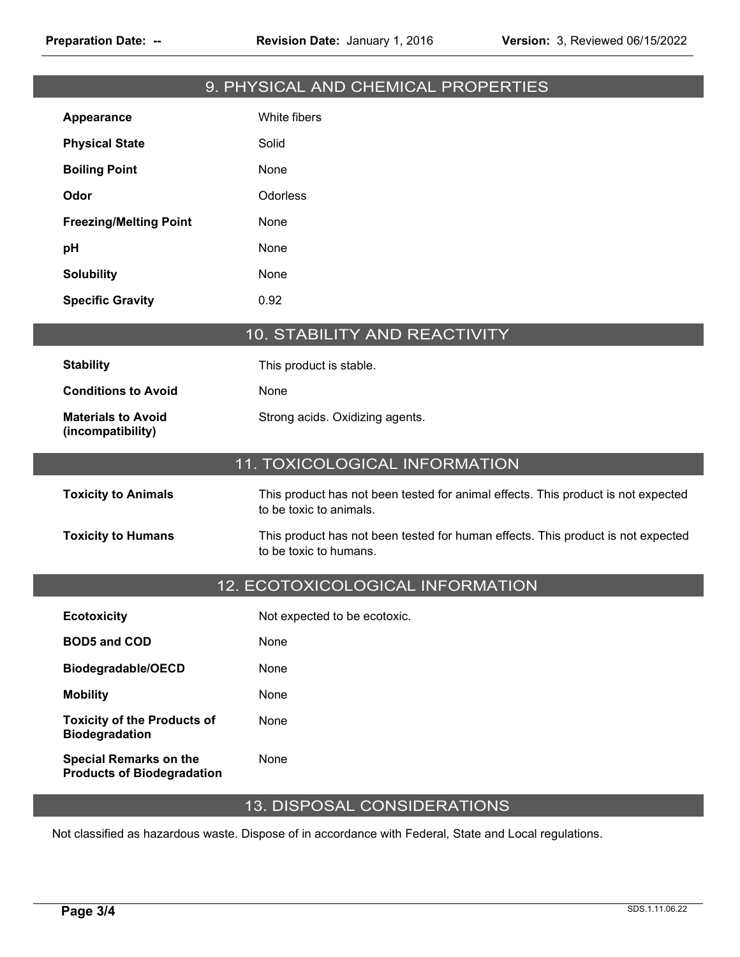|                                                                    | 9. PHYSICAL AND CHEMICAL PROPERTIES                                                                          |
|--------------------------------------------------------------------|--------------------------------------------------------------------------------------------------------------|
| Appearance                                                         | White fibers                                                                                                 |
| <b>Physical State</b>                                              | Solid                                                                                                        |
| <b>Boiling Point</b>                                               | None                                                                                                         |
| Odor                                                               | Odorless                                                                                                     |
| <b>Freezing/Melting Point</b>                                      | None                                                                                                         |
| pH                                                                 | None                                                                                                         |
| <b>Solubility</b>                                                  | None                                                                                                         |
| <b>Specific Gravity</b>                                            | 0.92                                                                                                         |
|                                                                    | 10. STABILITY AND REACTIVITY                                                                                 |
| <b>Stability</b>                                                   | This product is stable.                                                                                      |
| <b>Conditions to Avoid</b>                                         | None                                                                                                         |
| <b>Materials to Avoid</b><br>(incompatibility)                     | Strong acids. Oxidizing agents.                                                                              |
|                                                                    | 11. TOXICOLOGICAL INFORMATION                                                                                |
| <b>Toxicity to Animals</b>                                         | This product has not been tested for animal effects. This product is not expected<br>to be toxic to animals. |
| <b>Toxicity to Humans</b>                                          | This product has not been tested for human effects. This product is not expected<br>to be toxic to humans.   |
|                                                                    | 12. ECOTOXICOLOGICAL INFORMATION                                                                             |
| <b>Ecotoxicity</b>                                                 | Not expected to be ecotoxic.                                                                                 |
| <b>BOD5 and COD</b>                                                | None                                                                                                         |
| Biodegradable/OECD                                                 | None                                                                                                         |
| <b>Mobility</b>                                                    | None                                                                                                         |
| <b>Toxicity of the Products of</b><br><b>Biodegradation</b>        | None                                                                                                         |
| <b>Special Remarks on the</b><br><b>Products of Biodegradation</b> | None                                                                                                         |

## 13. DISPOSAL CONSIDERATIONS

Not classified as hazardous waste. Dispose of in accordance with Federal, State and Local regulations.